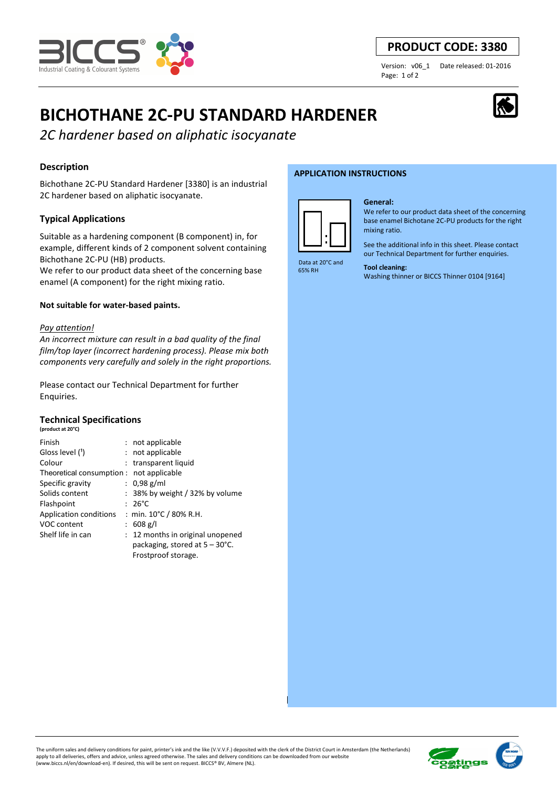

# **PRODUCT CODE: 3380**

Page: 1 of 2

Version: v06\_1 Date released: 01-2016

# **BICHOTHANE 2C-PU STANDARD HARDENER**

*2C hardener based on aliphatic isocyanate* 

## **Description**

Bichothane 2C-PU Standard Hardener [3380] is an industrial 2C hardener based on aliphatic isocyanate.

## **Typical Applications**

Suitable as a hardening component (B component) in, for example, different kinds of 2 component solvent containing Bichothane 2C-PU (HB) products.

We refer to our product data sheet of the concerning base enamel (A component) for the right mixing ratio.

#### **Not suitable for water-based paints.**

#### *Pay attention!*

*An incorrect mixture can result in a bad quality of the final film/top layer (incorrect hardening process). Please mix both components very carefully and solely in the right proportions.* 

Please contact our Technical Department for further Enquiries.

#### **Technical Specifications (product at 20°C)**

| Finish                                   | : not applicable                   |
|------------------------------------------|------------------------------------|
| Gloss level (1)                          | : not applicable                   |
| Colour                                   | : transparent liquid               |
| Theoretical consumption : not applicable |                                    |
| Specific gravity                         | : $0.98$ g/ml                      |
| Solids content                           | $: 38\%$ by weight / 32% by volume |
| Flashpoint                               | $: 26^{\circ}$ C                   |
| Application conditions                   | : min. $10^{\circ}$ C / 80% R.H.   |
| VOC content                              | : $608$ g/l                        |
| Shelf life in can                        | : 12 months in original unopened   |
|                                          | packaging, stored at 5 – 30°C.     |
|                                          | Frostproof storage.                |

#### **APPLICATION INSTRUCTIONS**



#### **General:**

We refer to our product data sheet of the concerning base enamel Bichotane 2C-PU products for the right mixing ratio.

See the additional info in this sheet. Please contact our Technical Department for further enquiries.

 Data at 20°C and 65% RH

#### **Tool cleaning:**

Washing thinner or BICCS Thinner 0104 [9164]